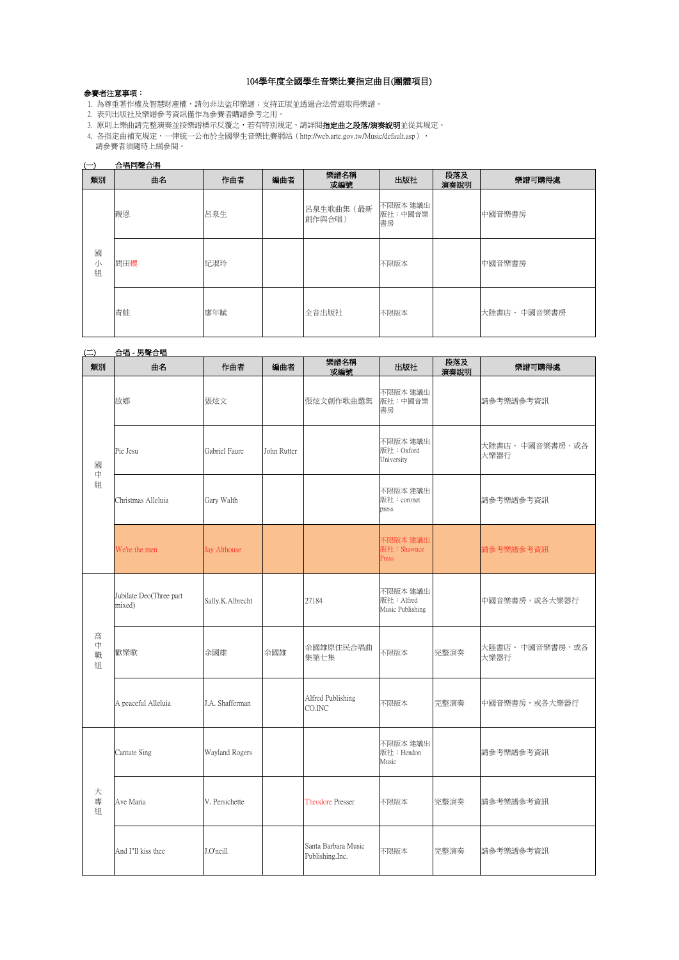# 104學年度全國學生音樂比賽指定曲目(團體項目)

### 參賽者注意事項:

- - - ---- ・ -<br>1. 為尊重著作權及智慧財產權,請勿非法盜印樂譜;支持正版並透過合法管道取得樂譜。
- 2. 表列出版社及樂譜參考資訊僅作為參賽者購譜參考之用。
- 3. 原則上樂曲請完整演奏並按樂譜標示反覆之,若有特別規定,請詳閱指定曲之段落/演奏說明並從其規定。
- 4. 各指定曲補充規定,一律統一公布於全國學生音樂比賽網站(http://web.arte.gov.tw/Music/default.asp), 請參賽者須隨時上網參閱。

#### (一) 合唱同聲合唱

| 類別          | 曲名  | 作曲者 | 編曲者 | 樂譜名稱<br>或編號          | 出版社                       | 段落及<br>演奏說明 | 樂譜可購得處       |
|-------------|-----|-----|-----|----------------------|---------------------------|-------------|--------------|
|             | 親恩  | 呂泉生 |     | 呂泉生歌曲集 (最新<br>創作與合唱) | 不限版本 建議出<br>版社:中國音樂<br>書房 |             | 中國音樂書房       |
| 或<br>小<br>組 | 問田蠳 | 紀淑玲 |     |                      | 不限版本                      |             | 中國音樂書房       |
|             | 青蛙  | 廖年賦 |     | 全音出版社                | 不限版本                      |             | 大陸書店、 中國音樂書房 |

|                             | <u>合唱 - 男聲合唱</u>                  |                  |             |                                        |                                            |             |                         |  |  |
|-----------------------------|-----------------------------------|------------------|-------------|----------------------------------------|--------------------------------------------|-------------|-------------------------|--|--|
| 類別                          | 曲名                                | 作曲者              | 編曲者         | 樂譜名稱<br>或編號                            | 出版社                                        | 段落及<br>演奏說明 | 樂譜可購得處                  |  |  |
|                             | 故鄉                                | 張炫文              |             | 張炫文創作歌曲選集                              | 不限版本 建議出<br>版社:中國音樂<br>書房                  |             | 請參考樂譜參考資訊               |  |  |
| 或<br>中<br>組                 | Pie Jesu                          | Gabriel Faure    | John Rutter |                                        | 不限版本 建議出<br>版社: Oxford<br>University       |             | 大陸書店、 中國音樂書房,或各<br>大樂器行 |  |  |
|                             | Christmas Alleluia                | Gary Walth       |             |                                        | 不限版本 建議出<br>版社: coronet<br>press           |             | 請參考樂譜參考資訊               |  |  |
|                             | We're the men                     | Jay Althouse     |             |                                        | 不限版本 建議出<br>板社: Shawnce<br>Press           |             | 請參考樂譜參考資訊               |  |  |
|                             | Jubilate Deo(Three part<br>mixed) | Sally.K.Albrecht |             | 27184                                  | 不限版本 建議出<br>版社: Alfred<br>Music Publishing |             | 中國音樂書房,或各大樂器行           |  |  |
| 高<br>$\ddot{\mp}$<br>職<br>組 | 歡樂歌                               | 余國雄              | 余國雄         | 余國雄原住民合唱曲<br>集第七集                      | 不限版本                                       | 完整演奏        | 大陸書店、 中國音樂書房,或各<br>大樂器行 |  |  |
|                             | A peaceful Alleluia               | J.A. Shafferman  |             | Alfred Publishing<br>CO.INC            | 不限版本                                       | 完整演奏        | 中國音樂書房,或各大樂器行           |  |  |
| 大<br>專<br>組                 | Cantate Sing                      | Wayland Rogers   |             |                                        | 不限版本 建議出<br>版社: Hendon<br>Music            |             | 請參考樂譜參考資訊               |  |  |
|                             | Ave Maria                         | V. Persichette   |             | <b>Theodore Presser</b>                | 不限版本                                       | 完整演奏        | 請參考樂譜參考資訊               |  |  |
|                             | And I"ll kiss thee                | J.O'neill        |             | Santa Barbara Music<br>Publishing.Inc. | 不限版本                                       | 完整演奏        | 請參考樂譜參考資訊               |  |  |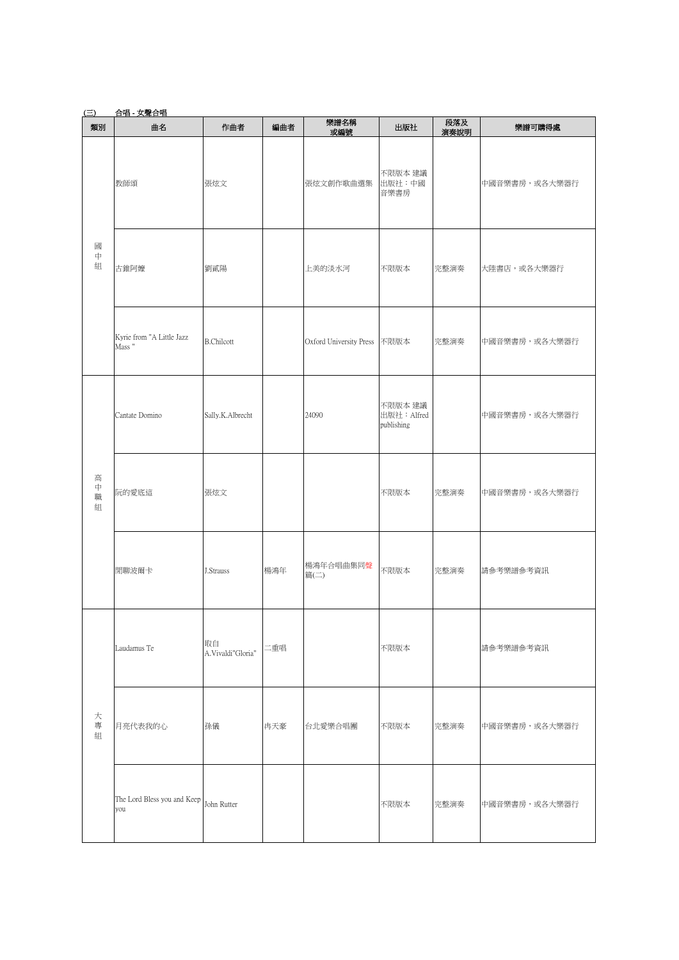| $(\equiv)$                        | 合唱 - 女聲合唱                          |                         |     |                              |                                      |             |               |
|-----------------------------------|------------------------------------|-------------------------|-----|------------------------------|--------------------------------------|-------------|---------------|
| 類別                                | 曲名                                 | 作曲者                     | 編曲者 | 樂譜名稱<br>或編號                  | 出版社                                  | 段落及<br>演奏說明 | 樂譜可購得處        |
| 國<br>中<br>組                       | 教師頌                                | 張炫文                     |     | 張炫文創作歌曲選集                    | 不限版本 建議<br>出版社:中國<br>音樂書房            |             | 中國音樂書房,或各大樂器行 |
|                                   | 古錐阿嬤                               | 劉貳陽                     |     | 上美的淡水河                       | 不限版本                                 | 完整演奏        | 大陸書店,或各大樂器行   |
|                                   | Kyrie from "A Little Jazz<br>Mass" | <b>B.Chilcott</b>       |     | Oxford University Press 不限版本 |                                      | 完整演奏        | 中國音樂書房,或各大樂器行 |
| 高<br>$\stackrel{}{\mp}$<br>職<br>組 | Cantate Domino                     | Sally.K.Albrecht        |     | 24090                        | 不限版本 建議<br>出版社: Alfred<br>publishing |             | 中國音樂書房,或各大樂器行 |
|                                   | 阮的愛底這                              | 張炫文                     |     |                              | 不限版本                                 | 完整演奏        | 中國音樂書房,或各大樂器行 |
|                                   | 閒聊波爾卡                              | J.Strauss               | 楊鴻年 | 楊鴻年合唱曲集同聲<br>篇(二)            | 不限版本                                 | 完整演奏        | 請參考樂譜參考資訊     |
|                                   | Laudamus Te                        | 取自<br>A.Vivaldi"Gloria" | 二重唱 |                              | 不限版本                                 |             | 請參考樂譜參考資訊     |
| 大<br>專<br>組                       | 月亮代表我的心                            | 孫儀                      | 冉天豪 | 台北愛樂合唱團                      | 不限版本                                 | 完整演奏        | 中國音樂書房,或各大樂器行 |
|                                   | The Lord Bless you and Keep<br>you | John Rutter             |     |                              | 不限版本                                 | 完整演奏        | 中國音樂書房,或各大樂器行 |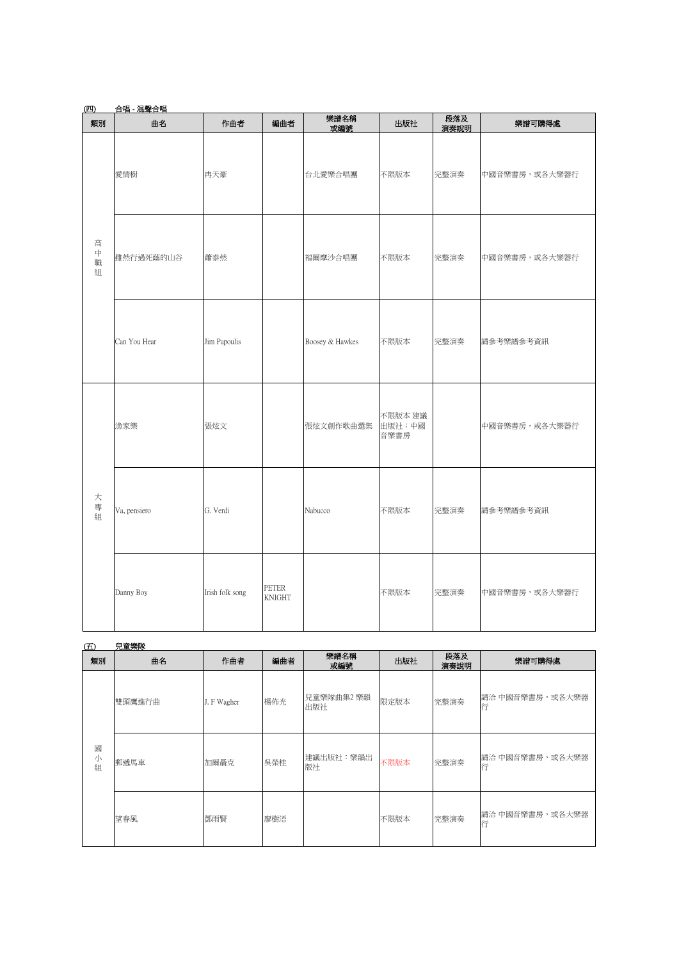| (四)                        | 合唱 - 混聲合唱    |                 |                               |                 |                           |             |               |  |  |  |
|----------------------------|--------------|-----------------|-------------------------------|-----------------|---------------------------|-------------|---------------|--|--|--|
| 類別                         | 曲名           | 作曲者             | 編曲者                           | 樂譜名稱<br>或編號     | 出版社                       | 段落及<br>演奏說明 | 樂譜可購得處        |  |  |  |
|                            | 愛情樹          | 冉天豪             |                               | 台北愛樂合唱團         | 不限版本                      | 完整演奏        | 中國音樂書房,或各大樂器行 |  |  |  |
| 高<br>$\bar{\mp}$<br>職<br>組 | 雖然行過死蔭的山谷    | 蕭泰然             |                               | 福爾摩沙合唱團         | 不限版本                      | 完整演奏        | 中國音樂書房,或各大樂器行 |  |  |  |
|                            | Can You Hear | Jim Papoulis    |                               | Boosey & Hawkes | 不限版本                      | 完整演奏        | 請參考樂譜參考資訊     |  |  |  |
|                            | 漁家樂          | 張炫文             |                               | 張炫文創作歌曲選集       | 不限版本 建議<br>出版社:中國<br>音樂書房 |             | 中國音樂書房,或各大樂器行 |  |  |  |
| 大<br>專<br>組                | Va, pensiero | G. Verdi        |                               | Nabucco         | 不限版本                      | 完整演奏        | 請參考樂譜參考資訊     |  |  |  |
|                            | Danny Boy    | Irish folk song | <b>PETER</b><br><b>KNIGHT</b> |                 | 不限版本                      | 完整演奏        | 中國音樂書房,或各大樂器行 |  |  |  |

| (E)         | 兒童樂隊   |             |     |                   |      |             |                      |
|-------------|--------|-------------|-----|-------------------|------|-------------|----------------------|
| 類別          | 曲名     | 作曲者         | 編曲者 | 樂譜名稱<br>或編號       | 出版社  | 段落及<br>演奏說明 | 樂譜可購得處               |
|             | 雙頭鷹進行曲 | J. F Wagher | 楊佈光 | 兒童樂隊曲集2 樂韻<br>出版社 | 限定版本 | 完整演奏        | 請洽 中國音樂書房,或各大樂器<br>行 |
| 國<br>小<br>組 | 郵遞馬車   | 加爾聶克        | 吳榮桂 | 建議出版社:樂韻出<br>版社   | 不限版本 | 完整演奏        | 請洽 中國音樂書房,或各大樂器<br>行 |
|             | 望春風    | 鄧雨賢         | 廖樹浯 |                   | 不限版本 | 完整演奏        | 請洽 中國音樂書房,或各大樂器<br>行 |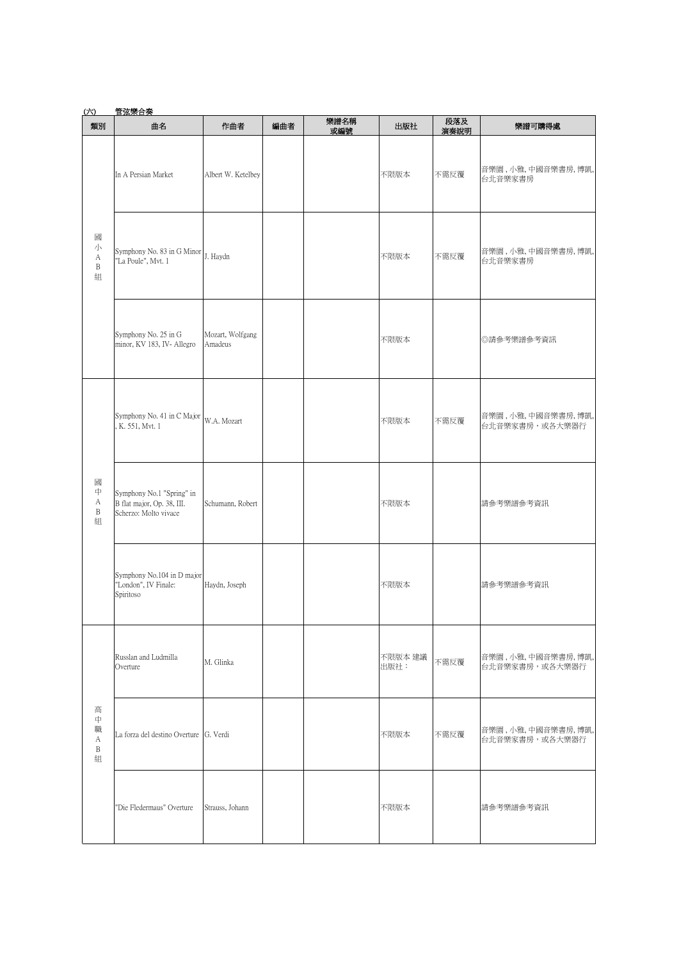| <u>(六)</u>                            | <u>管弦樂合奏</u>                                                                     |                             |     |             |                 |             |                                     |
|---------------------------------------|----------------------------------------------------------------------------------|-----------------------------|-----|-------------|-----------------|-------------|-------------------------------------|
| 類別                                    | 曲名                                                                               | 作曲者                         | 編曲者 | 樂譜名稱<br>或編號 | 出版社             | 段落及<br>演奏說明 | 樂譜可購得處                              |
|                                       | In A Persian Market                                                              | Albert W. Ketelbey          |     |             | 不限版本            | 不需反覆        | 音樂園,小雅,中國音樂書房,博凱,<br>台北音樂家書房        |
| 國<br>小<br>А<br>$\, {\bf B}$<br>組      | Symphony No. 83 in G Minor J. Haydn<br>"La Poule", Mvt. 1                        |                             |     |             | 不限版本            | 不需反覆        | 音樂園,小雅,中國音樂書房,博凱,<br>台北音樂家書房        |
|                                       | Symphony No. 25 in G<br>minor, KV 183, IV- Allegro                               | Mozart, Wolfgang<br>Amadeus |     |             | 不限版本            |             | ◎請參考樂譜參考資訊                          |
|                                       | Symphony No. 41 in C Major W.A. Mozart<br>K. 551, Mvt. 1                         |                             |     |             | 不限版本            | 不需反覆        | 音樂園,小雅,中國音樂書房,博凱,<br>台北音樂家書房,或各大樂器行 |
| 國<br>中<br>А<br>B<br>組                 | Symphony No.1 "Spring" in<br>B flat major, Op. 38, III.<br>Scherzo: Molto vivace | Schumann, Robert            |     |             | 不限版本            |             | 請參考樂譜參考資訊                           |
|                                       | Symphony No.104 in D major<br>"London", IV Finale:<br>Spiritoso                  | Haydn, Joseph               |     |             | 不限版本            |             | 請參考樂譜參考資訊                           |
| 高<br>中<br>職<br>А<br>$\, {\bf B}$<br>組 | Russlan and Ludmilla<br>Overture                                                 | M. Glinka                   |     |             | 不限版本 建議<br>出版社: | 不需反覆        | 音樂園,小雅,中國音樂書房,博凱,<br>台北音樂家書房,或各大樂器行 |
|                                       | La forza del destino Overture G. Verdi                                           |                             |     |             | 不限版本            | 不需反覆        | 音樂園,小雅,中國音樂書房,博凱,<br>台北音樂家書房,或各大樂器行 |
|                                       | 'Die Fledermaus" Overture                                                        | Strauss, Johann             |     |             | 不限版本            |             | 請參考樂譜參考資訊                           |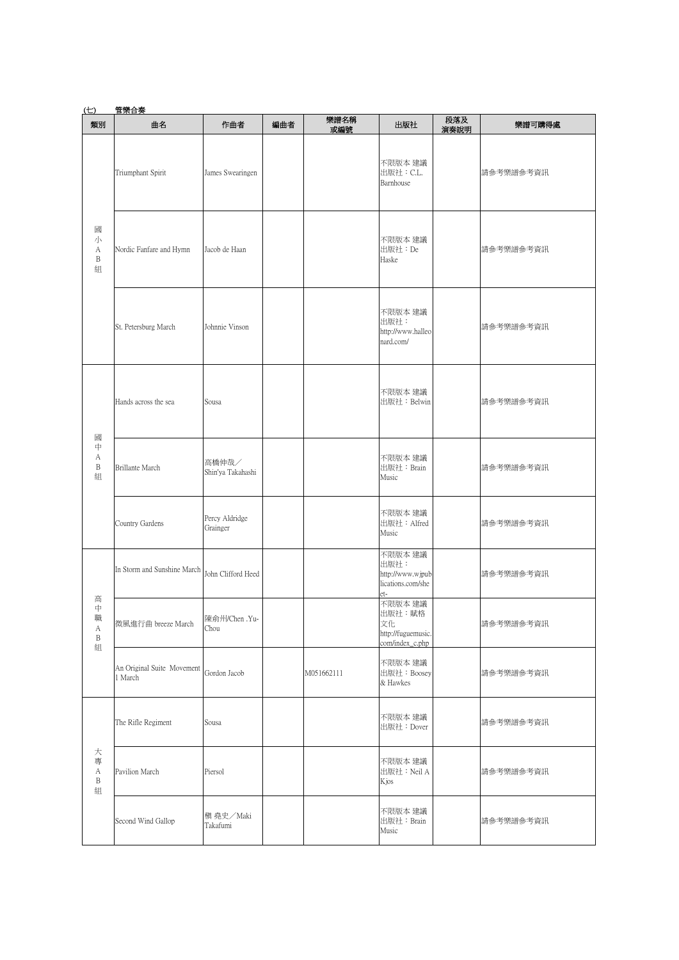| (E)                              | 管樂合奏                                  |                            |     |             |                                                                  |             |           |
|----------------------------------|---------------------------------------|----------------------------|-----|-------------|------------------------------------------------------------------|-------------|-----------|
| 類別                               | 曲名                                    | 作曲者                        | 編曲者 | 樂譜名稱<br>或編號 | 出版社                                                              | 段落及<br>演奏說明 | 樂譜可購得處    |
|                                  | Triumphant Spirit                     | James Swearingen           |     |             | 不限版本 建議<br>出版社: C.L.<br>Barnhouse                                |             | 請參考樂譜參考資訊 |
| 或<br>小<br>А<br>B<br>組            | Nordic Fanfare and Hymn               | Jacob de Haan              |     |             | 不限版本 建議<br>出版社: De<br>Haske                                      |             | 請參考樂譜參考資訊 |
|                                  | St. Petersburg March                  | Johnnie Vinson             |     |             | 不限版本 建議<br>出版社:<br>http://www.halleo<br>nard.com/                |             | 請參考樂譜參考資訊 |
| 國                                | Hands across the sea                  | Sousa                      |     |             | 不限版本 建議<br>出版社: Belwin                                           |             | 請參考樂譜參考資訊 |
| 中<br>А<br>$\, {\bf B}$<br>組      | <b>Brillante March</b>                | 高橋伸哉/<br>Shin'ya Takahashi |     |             | 不限版本 建議<br>出版社: Brain<br>Music                                   |             | 請參考樂譜參考資訊 |
|                                  | Country Gardens                       | Percy Aldridge<br>Grainger |     |             | 不限版本 建議<br>出版社: Alfred<br>Music                                  |             | 請參考樂譜參考資訊 |
| 高                                | In Storm and Sunshine March           | John Clifford Heed         |     |             | 不限版本 建議<br>出版社:<br>http://www.wjpub<br>lications.com/she<br>et-  |             | 請參考樂譜參考資訊 |
| 中<br>職<br>А<br>$\, {\bf B}$<br>組 | 微風進行曲 breeze March                    | 陳俞州/Chen .Yu-<br>Chou      |     |             | 不限版本 建議<br>出版社:賦格<br>文化<br>http://fuguemusic.<br>com/index_c.php |             | 請參考樂譜參考資訊 |
|                                  | An Original Suite Movement<br>1 March | Gordon Jacob               |     | M051662111  | 不限版本 建議<br>出版社: Boosey<br>& Hawkes                               |             | 請參考樂譜參考資訊 |
| 大<br>專<br>А<br>B<br>組            | The Rifle Regiment                    | Sousa                      |     |             | 不限版本 建議<br>出版社: Dover                                            |             | 請參考樂譜參考資訊 |
|                                  | Pavilion March                        | Piersol                    |     |             | 不限版本 建議<br>出版社: Neil A<br>Kjos                                   |             | 請參考樂譜參考資訊 |
|                                  | Second Wind Gallop                    | 槇 堯史/Maki<br>Takafumi      |     |             | 不限版本 建議<br>出版社: Brain<br>Music                                   |             | 請參考樂譜參考資訊 |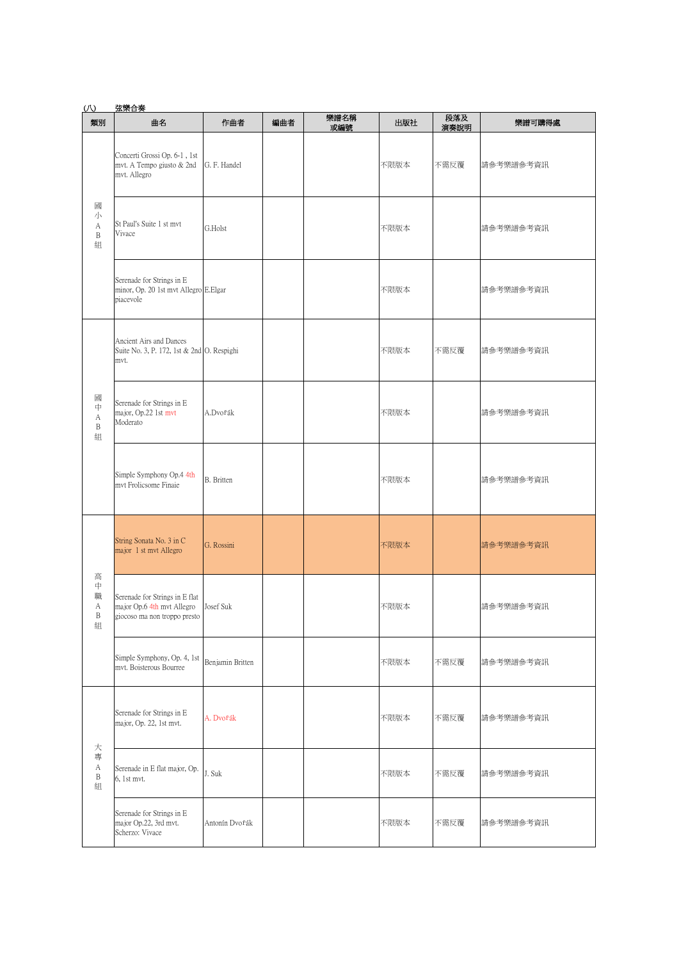| $\omega$                                   | 弦樂合奏                                                                                                   |                   |     |             |      |             |           |
|--------------------------------------------|--------------------------------------------------------------------------------------------------------|-------------------|-----|-------------|------|-------------|-----------|
| 類別                                         | 曲名                                                                                                     | 作曲者               | 編曲者 | 樂譜名稱<br>或編號 | 出版社  | 段落及<br>演奏說明 | 樂譜可購得處    |
|                                            | Concerti Grossi Op. 6-1, 1st<br>mvt. A Tempo giusto & 2nd<br>mvt. Allegro                              | G. F. Handel      |     |             | 不限版本 | 不需反覆        | 請參考樂譜參考資訊 |
| 國<br>小<br>А<br>$\, {\bf B}$<br>組           | St Paul's Suite 1 st mvt<br>Vivace                                                                     | G.Holst           |     |             | 不限版本 |             | 請參考樂譜參考資訊 |
|                                            | Serenade for Strings in E<br>minor, Op. 20 1st mvt Allegro E.Elgar<br>piacevole                        |                   |     |             | 不限版本 |             | 請參考樂譜參考資訊 |
|                                            | Ancient Airs and Dances<br>Suite No. 3, P. 172, 1st & 2nd O. Respighi<br>mvt.                          |                   |     |             | 不限版本 | 不需反覆        | 請參考樂譜參考資訊 |
| 國<br>中<br>А<br>B<br>組                      | Serenade for Strings in E<br>major, Op.22 1st mvt<br>Moderato                                          | A.Dvořák          |     |             | 不限版本 |             | 請參考樂譜參考資訊 |
|                                            | Simple Symphony Op.4 4th<br>mvt Frolicsome Finaie                                                      | <b>B.</b> Britten |     |             | 不限版本 |             | 請參考樂譜參考資訊 |
|                                            | String Sonata No. 3 in C<br>major 1 st mvt Allegro                                                     | G. Rossini        |     |             | 不限版本 |             | 請參考樂譜參考資訊 |
| 高<br>中<br>職<br>А<br>$\, {\bf B}$<br>組      | Serenade for Strings in E flat<br>major Op.6 4th mvt Allegro Josef Suk<br>giocoso ma non troppo presto |                   |     |             | 不限版本 |             | 請參考樂譜參考資訊 |
|                                            | Simple Symphony, Op. 4, 1st<br>mvt. Boisterous Bourree                                                 | Benjamin Britten  |     |             | 不限版本 | 不需反覆        | 請參考樂譜參考資訊 |
| 大<br>專<br>$\mathbf A$<br>$\, {\bf B}$<br>組 | Serenade for Strings in E<br>major, Op. 22, 1st mvt.                                                   | A. Dvořák         |     |             | 不限版本 | 不需反覆        | 請參考樂譜參考資訊 |
|                                            | Serenade in E flat major, Op.<br>6, 1st mvt.                                                           | J. Suk            |     |             | 不限版本 | 不需反覆        | 請參考樂譜參考資訊 |
|                                            | Serenade for Strings in E<br>major Op.22, 3rd mvt.<br>Scherzo: Vivace                                  | Antonín Dvořák    |     |             | 不限版本 | 不需反覆        | 請參考樂譜參考資訊 |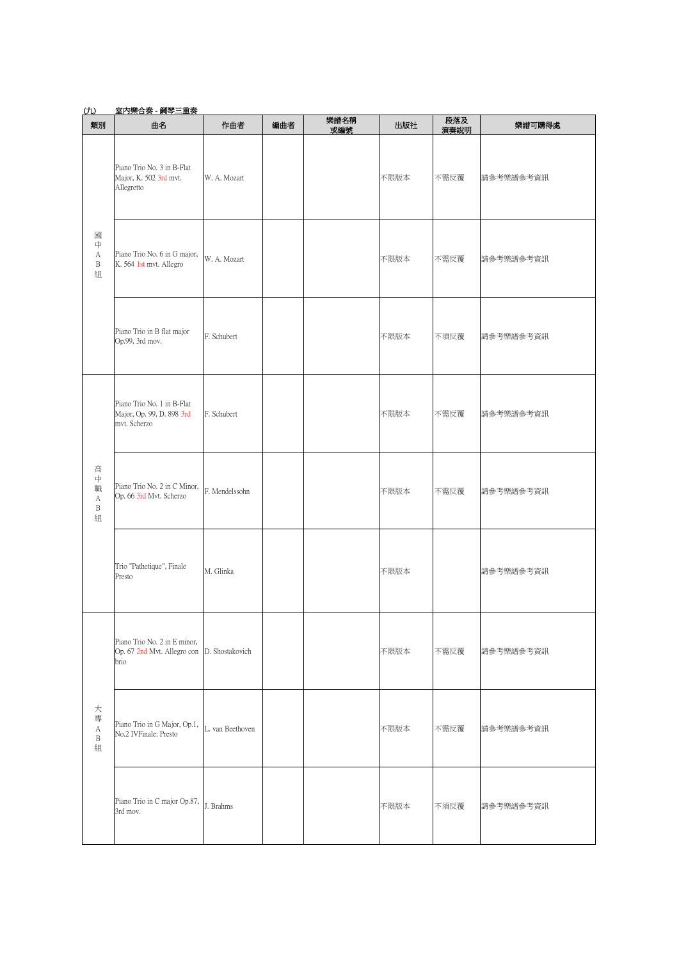| <u>(ti)</u>                      | 室内樂合奏 - 鋼琴三重奏                                                           |                  |     |             |      |             |           |
|----------------------------------|-------------------------------------------------------------------------|------------------|-----|-------------|------|-------------|-----------|
| 類別                               | 曲名                                                                      | 作曲者              | 編曲者 | 樂譜名稱<br>或編號 | 出版社  | 段落及<br>演奏說明 | 樂譜可購得處    |
|                                  | Piano Trio No. 3 in B-Flat<br>Major, K. 502 3rd mvt.<br>Allegretto      | W. A. Mozart     |     |             | 不限版本 | 不需反覆        | 請參考樂譜參考資訊 |
| 國<br>中<br>А<br>B<br>組            | Piano Trio No. 6 in G major,<br>K. 564 1st mvt. Allegro                 | W. A. Mozart     |     |             | 不限版本 | 不需反覆        | 請參考樂譜參考資訊 |
|                                  | Piano Trio in B flat major<br>Op.99, 3rd mov.                           | F. Schubert      |     |             | 不限版本 | 不須反覆        | 請參考樂譜參考資訊 |
|                                  | Piano Trio No. 1 in B-Flat<br>Major, Op. 99, D. 898 3rd<br>mvt. Scherzo | F. Schubert      |     |             | 不限版本 | 不需反覆        | 請參考樂譜參考資訊 |
| 高<br>中<br>職<br>A<br>B<br>組       | Piano Trio No. 2 in C Minor,<br>Op. 66 3rd Mvt. Scherzo                 | F. Mendelssohn   |     |             | 不限版本 | 不需反覆        | 請參考樂譜參考資訊 |
|                                  | Trio "Pathetique", Finale<br>Presto                                     | M. Glinka        |     |             | 不限版本 |             | 請參考樂譜參考資訊 |
|                                  | Piano Trio No. 2 in E minor,<br>Op. 67 2nd Mvt. Allegro con<br>brio     | D. Shostakovich  |     |             | 不限版本 | 不需反覆        | 請參考樂譜參考資訊 |
| 大<br>專<br>А<br>$\, {\bf B}$<br>組 | Piano Trio in G Major, Op.1,<br>No.2 IVFinale: Presto                   | L. van Beethoven |     |             | 不限版本 | 不需反覆        | 請參考樂譜參考資訊 |
|                                  | Piano Trio in C major Op.87, $\big  J$ . Brahms<br>3rd mov.             |                  |     |             | 不限版本 | 不須反覆        | 請參考樂譜參考資訊 |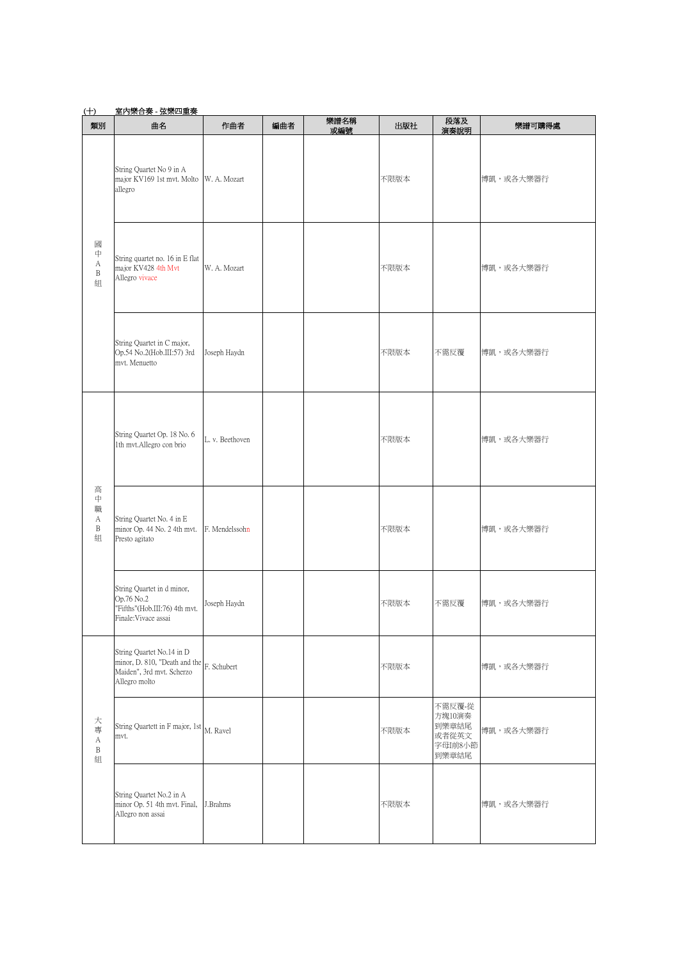## (十) 室內樂合奏 - 弦樂四重奏

| 類別                                    | 曲名                                                                                                                      | 作曲者             | 編曲者 | 樂譜名稱<br>或編號 | 出版社  | 段落及<br>演奏說明                                            | 樂譜可購得處    |
|---------------------------------------|-------------------------------------------------------------------------------------------------------------------------|-----------------|-----|-------------|------|--------------------------------------------------------|-----------|
|                                       | String Quartet No 9 in A<br>major KV169 1st mvt. Molto W. A. Mozart<br>allegro                                          |                 |     |             | 不限版本 |                                                        | 博凱,或各大樂器行 |
| 國<br>中<br>$\mathbf{A}$<br>B<br>組      | String quartet no. 16 in E flat<br>major KV428 4th Mvt<br>Allegro vivace                                                | W. A. Mozart    |     |             | 不限版本 |                                                        | 博凱,或各大樂器行 |
|                                       | String Quartet in C major,<br>Op.54 No.2(Hob.III:57) 3rd<br>mvt. Menuetto                                               | Joseph Haydn    |     |             | 不限版本 | 不需反覆                                                   | 博凱,或各大樂器行 |
|                                       | String Quartet Op. 18 No. 6<br>1th mvt.Allegro con brio                                                                 | L. v. Beethoven |     |             | 不限版本 |                                                        | 博凱,或各大樂器行 |
| 高<br>中<br>職<br>А<br>$\, {\bf B}$<br>組 | String Quartet No. 4 in E<br>minor Op. 44 No. 2 4th mvt.<br>Presto agitato                                              | F. Mendelssohn  |     |             | 不限版本 |                                                        | 博凱,或各大樂器行 |
|                                       | String Quartet in d minor,<br>Op.76 No.2<br>"Fifths"(Hob.III:76) 4th mvt.<br>Finale: Vivace assai                       | Joseph Haydn    |     |             | 不限版本 | 不需反覆                                                   | 博凱,或各大樂器行 |
| 大<br>專<br>A<br>B<br>組                 | String Quartet No.14 in D<br>minor, D. 810, "Death and the $F$ . Schubert<br>Maiden", 3rd mvt. Scherzo<br>Allegro molto |                 |     |             | 不限版本 |                                                        | 博凱,或各大樂器行 |
|                                       | String Quartett in F major, 1st M. Ravel<br>mvt.                                                                        |                 |     |             | 不限版本 | 不需反覆-從<br>方塊10演奏<br>到樂章結尾<br>或者從英文<br>字母I前8小節<br>到樂章結尾 | 博凱,或各大樂器行 |
|                                       | String Quartet No.2 in A<br>minor Op. 51 4th mvt. Final,<br>Allegro non assai                                           | J.Brahms        |     |             | 不限版本 |                                                        | 博凱,或各大樂器行 |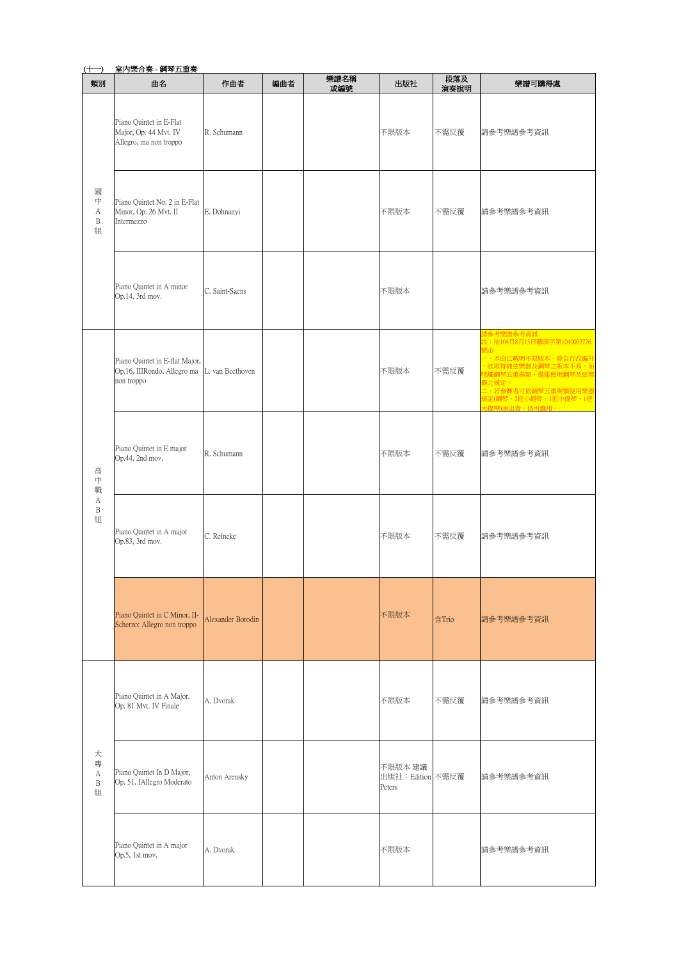| (十一)                  | 室內樂合奏 - 鋼琴五重奏                                                                                |                   |     |             |                                        |             |                                                                                                                                                                                                                 |
|-----------------------|----------------------------------------------------------------------------------------------|-------------------|-----|-------------|----------------------------------------|-------------|-----------------------------------------------------------------------------------------------------------------------------------------------------------------------------------------------------------------|
| 類別                    | 曲名                                                                                           | 作曲者               | 編曲者 | 樂譜名稱<br>或編號 | 出版社                                    | 段落及<br>演奏說明 | 樂譜可購得處                                                                                                                                                                                                          |
|                       | Piano Quintet in E-Flat<br>Major, Op. 44 Mvt. IV<br>Allegro, ma non troppo                   | R. Schumann       |     |             | 不限版本                                   | 不需反覆        | 請參考樂譜參考資訊                                                                                                                                                                                                       |
| 或<br>中<br>А<br>B<br>組 | Piano Quintet No. 2 in E-Flat<br>Minor, Op. 26 Mvt. II<br>Intermezzo                         | E. Dohnanyi       |     |             | 不限版本                                   | 不需反覆        | 請參考樂譜參考資訊                                                                                                                                                                                                       |
|                       | Piano Quintet in A minor<br>Op.14, 3rd mov.                                                  | C. Saint-Saens    |     |             | 不限版本                                   |             | 請參考樂譜參考資訊                                                                                                                                                                                                       |
|                       | Piano Quintet in E-flat Major,<br>Op.16, IIIRondo, Allegro ma L. van Beethoven<br>non troppo |                   |     |             | 不限版本                                   | 不需反覆        | 請參考樂譜參考資訊<br>註: 依104月8月13日藝演字第1040002726<br>號函<br>、本曲已載明不限版本,除自行改編外<br>,欲取得純弦樂器及鋼琴之版本不易,而<br>抵觸鋼琴五重奏類,僅能使用鋼琴及弦樂<br>器之規定。<br>一<br>二、若 <mark>参賽者可依鋼琴五重奏類使用樂器</mark><br>規定(鋼琴、2把小提琴、1把中提琴、1把<br>」<br>大提琴)演出者,仍可撰用。 |
| 高<br>中<br>職           | Piano Quintet in E major<br>Op.44, 2nd mov.                                                  | R. Schumann       |     |             | 不限版本                                   | 不需反覆        | 請參考樂譜參考資訊                                                                                                                                                                                                       |
| А<br>B<br>組           | Piano Quintet in A major<br>Op.83, 3rd mov.                                                  | C. Reineke        |     |             | 不限版本                                   | 不需反覆        | 請參考樂譜參考資訊                                                                                                                                                                                                       |
|                       | Piano Quintet in C Minor, II-<br>Scherzo: Allegro non troppo                                 | Alexander Borodin |     |             | 不限版本                                   | 含Trio       | 請參考樂譜參考資訊                                                                                                                                                                                                       |
|                       | Piano Quintet in A Major,<br>Op. 81 Mvt. IV Finale                                           | A. Dvorak         |     |             | 不限版本                                   | 不需反覆        | 請參考樂譜參考資訊                                                                                                                                                                                                       |
| 大<br>專<br>A<br>B<br>組 | Piano Quintet In D Major,<br>Op. 51, IAllegro Moderato                                       | Anton Arensky     |     |             | 不限版本 建議<br>出版社: Edition 不需反覆<br>Peters |             | 請參考樂譜參考資訊                                                                                                                                                                                                       |
|                       | Piano Quintet in A major<br>Op.5, 1st mov.                                                   | A. Dvorak         |     |             | 不限版本                                   |             | 請參考樂譜參考資訊                                                                                                                                                                                                       |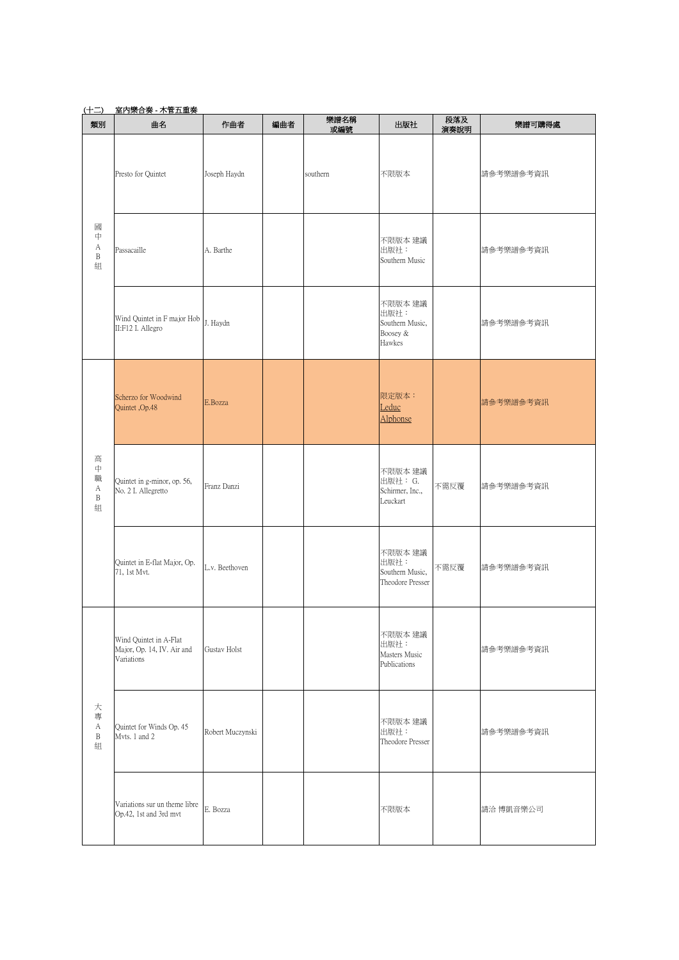| <u>(十二)</u>                | 室内樂合奏 - 木管五重奏                                                      |                  |     |             |                                                          |             |           |
|----------------------------|--------------------------------------------------------------------|------------------|-----|-------------|----------------------------------------------------------|-------------|-----------|
| 類別                         | 曲名                                                                 | 作曲者              | 編曲者 | 樂譜名稱<br>或編號 | 出版社                                                      | 段落及<br>演奏說明 | 樂譜可購得處    |
|                            | Presto for Quintet                                                 | Joseph Haydn     |     | southern    | 不限版本                                                     |             | 請參考樂譜參考資訊 |
| 或<br>中<br>А<br>B<br>組      | Passacaille                                                        | A. Barthe        |     |             | 不限版本 建議<br>出版社:<br>Southern Music                        |             | 請參考樂譜參考資訊 |
|                            | Wind Quintet in F major Hob<br>II:F12 I. Allegro                   | J. Haydn         |     |             | 不限版本 建議<br>出版社:<br>Southern Music,<br>Boosey &<br>Hawkes |             | 請參考樂譜參考資訊 |
|                            | Scherzo for Woodwind<br>Quintet, Op.48                             | E.Bozza          |     |             | 限定版本:<br>Leduc<br>Alphonse                               |             | 請參考樂譜參考資訊 |
| 高<br>中<br>職<br>А<br>B<br>組 | Quintet in g-minor, op. 56,<br>No. 2 I. Allegretto                 | Franz Danzi      |     |             | 不限版本 建議<br>出版社: G.<br>Schirmer, Inc.,<br>Leuckart        | 不需反覆        | 請參考樂譜參考資訊 |
|                            | Quintet in E-flat Major, Op.<br>71, 1st Mvt.                       | L.v. Beethoven   |     |             | 不限版本 建議<br>出版社:<br>Southern Music,<br>Theodore Presser   | 不需反覆        | 請參考樂譜參考資訊 |
|                            | Wind Quintet in A-Flat<br>Major, Op. 14, IV. Air and<br>Variations | Gustav Holst     |     |             | 不限版本 建議<br>出版社:<br>Masters Music<br>Publications         |             | 請參考樂譜參考資訊 |
| 大<br>專<br>А<br>B<br>組      | Quintet for Winds Op. 45<br>Myts, 1 and 2                          | Robert Muczynski |     |             | 不限版本 建議<br>出版社:<br>Theodore Presser                      |             | 請參考樂譜參考資訊 |
|                            | Variations sur un theme libre<br>Op.42, 1st and 3rd mvt            | E. Bozza         |     |             | 不限版本                                                     |             | 請洽 博凱音樂公司 |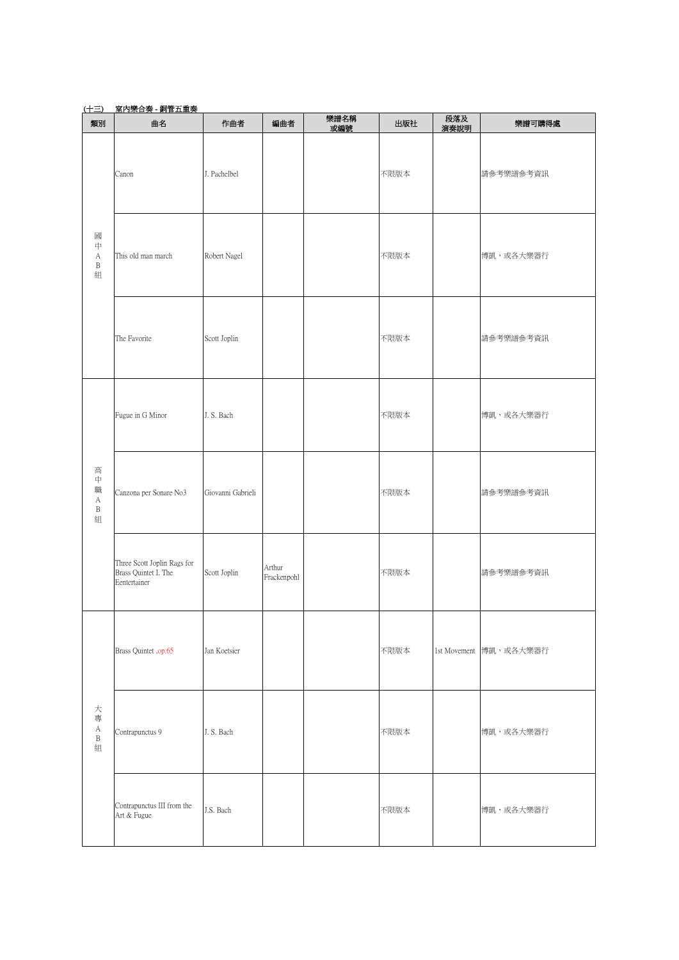| (土三)                                                     | 室内樂合奏 - 銅管五重奏                                                       |                   |                       |             |      |             |                        |  |  |
|----------------------------------------------------------|---------------------------------------------------------------------|-------------------|-----------------------|-------------|------|-------------|------------------------|--|--|
| 類別                                                       | 曲名                                                                  | 作曲者               | 編曲者                   | 樂譜名稱<br>或編號 | 出版社  | 段落及<br>演奏說明 | 樂譜可購得處                 |  |  |
|                                                          | Canon                                                               | J. Pachelbel      |                       |             | 不限版本 |             | 請參考樂譜參考資訊              |  |  |
| 或<br>中<br>А<br>$\, {\bf B}$<br>組                         | This old man march                                                  | Robert Nagel      |                       |             | 不限版本 |             | 博凱,或各大樂器行              |  |  |
|                                                          | The Favorite                                                        | Scott Joplin      |                       |             | 不限版本 |             | 請參考樂譜參考資訊              |  |  |
|                                                          | Fugue in G Minor                                                    | J. S. Bach        |                       |             | 不限版本 |             | 博凱,或各大樂器行              |  |  |
| 高<br>中<br>職<br>А<br>B<br>組                               | Canzona per Sonare No3                                              | Giovanni Gabrieli |                       |             | 不限版本 |             | 請參考樂譜參考資訊              |  |  |
|                                                          | Three Scott Joplin Rags for<br>Brass Quintet I. The<br>Eentertainer | Scott Joplin      | Arthur<br>Frackenpohl |             | 不限版本 |             | 請參考樂譜參考資訊              |  |  |
| 大<br>專<br>$\boldsymbol{\mathsf{A}}$<br>$\, {\bf B}$<br>組 | Brass Quintet , op.65                                               | Jan Koetsier      |                       |             | 不限版本 |             | 1st Movement 博凱,或各大樂器行 |  |  |
|                                                          | Contrapunctus 9                                                     | J. S. Bach        |                       |             | 不限版本 |             | 博凱,或各大樂器行              |  |  |
|                                                          | Contrapunctus III from the<br>Art & Fugue                           | J.S. Bach         |                       |             | 不限版本 |             | 博凱,或各大樂器行              |  |  |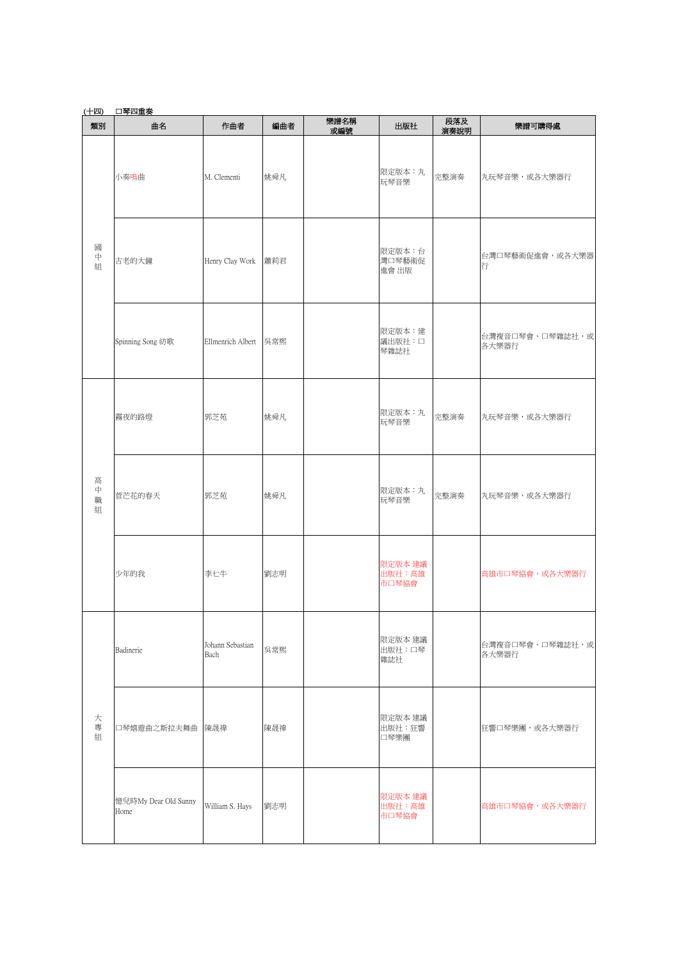# (十四) 口琴四重奏

| 類別               | 曲名                           | 作曲者                      | 編曲者 | 樂譜名稱<br>或編號 | 出版社                        | 段落及<br>演奏說明 | 樂譜可購得處                   |
|------------------|------------------------------|--------------------------|-----|-------------|----------------------------|-------------|--------------------------|
|                  | 小奏鳴曲                         | M. Clementi              | 姚舜凡 |             | 限定版本:丸<br>玩琴音樂             | 完整演奏        | 丸玩琴音樂,或各大樂器行             |
| 國<br>中<br>組      | 古老的大鐘                        | Henry Clay Work          | 蕭莉君 |             | 限定版本:台<br>灣口琴藝術促<br>進會 出版  |             | 台灣口琴藝術促進會,或各大樂器<br>行     |
|                  | Spinning Song 紡歌             | Ellmenrich Albert        | 吳常熙 |             | 限定版本:建<br>議出版社:口<br>琴雜誌社   |             | 台灣複音口琴會、口琴雜誌社,或<br>各大樂器行 |
|                  | 霧夜的路燈                        | 郭芝苑                      | 姚舜凡 |             | 限定版本:丸<br>玩琴音樂             | 完整演奏        | 丸玩琴音樂,或各大樂器行             |
| 高<br>中<br>職<br>組 | 菅芒花的春天                       | 郭芝苑                      | 姚舜凡 |             | 限定版本:丸<br>玩琴音樂             | 完整演奏        | 丸玩琴音樂,或各大樂器行             |
|                  | 少年的我                         | 李七牛                      | 劉志明 |             | 限定版本 建議<br>出版社:高雄<br>市口琴協會 |             | 高雄市口琴協會,或各大樂器行           |
|                  | Badinerie                    | Johann Sebastian<br>Bach | 吳常熙 |             | 限定版本 建議<br>出版社:口琴<br>雜誌社   |             | 台灣複音口琴會、口琴雜誌社,或<br>各大樂器行 |
| 大<br>專<br>組      | 口琴嬉遊曲之斯拉夫舞曲                  | 陳晟禕                      | 陳晟禕 |             | 限定版本 建議<br>出版社:狂響<br>口琴樂團  |             | 狂響口琴樂團,或各大樂器行            |
|                  | 憶兒時My Dear Old Sunny<br>Home | William S. Hays          | 劉志明 |             | 限定版本 建議<br>出版社:高雄<br>市口琴協會 |             | 高雄市口琴協會,或各大樂器行           |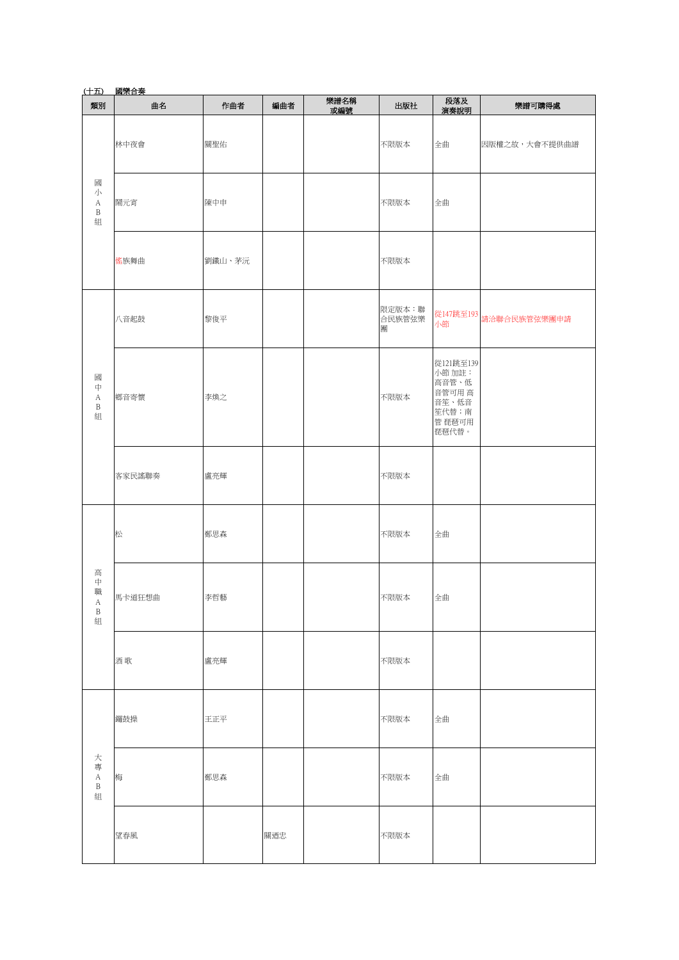| (十五)                                                 |        |        |     |             |                       |                                                                             |                                 |
|------------------------------------------------------|--------|--------|-----|-------------|-----------------------|-----------------------------------------------------------------------------|---------------------------------|
| 類別                                                   | 曲名     | 作曲者    | 編曲者 | 樂譜名稱<br>或編號 | 出版社                   | 段落及<br>演奏說明                                                                 | 樂譜可購得處                          |
|                                                      | 林中夜會   | 關聖佑    |     |             | 不限版本                  | 全曲                                                                          | 因版權之故,大會不提供曲譜                   |
| 或<br>小<br>А<br>$\, {\bf B}$<br>組                     | 鬧元宵    | 陳中申    |     |             | 不限版本                  | 全曲                                                                          |                                 |
|                                                      | 傜族舞曲   | 劉鐵山、茅沅 |     |             | 不限版本                  |                                                                             |                                 |
|                                                      | 八音起鼓   | 黎俊平    |     |             | 限定版本:聯<br>合民族管弦樂<br>專 | 小節                                                                          | 從147跳至193<br>· <del>: : :</del> |
| 或<br>中<br>$\mathbf A$<br>B<br>組                      | 鄉音寄懷   | 李煥之    |     |             | 不限版本                  | 從121跳至139<br>小節 加註:<br>高音管、低<br>音管可用 高<br>音笙、低音<br>笙代替;南<br>管 琵琶可用<br>琵琶代替。 |                                 |
|                                                      | 客家民謠聯奏 | 盧亮輝    |     |             | 不限版本                  |                                                                             |                                 |
|                                                      | 松      | 鄭思森    |     |             | 不限版本                  | 全曲                                                                          |                                 |
| 高<br>$\,\,\,\uparrow$<br>職<br>А<br>$\, {\bf B}$<br>組 | 馬卡道狂想曲 | 李哲藝    |     |             | 不限版本                  | 全曲                                                                          |                                 |
|                                                      | 酒歌     | 盧亮輝    |     |             | 不限版本                  |                                                                             |                                 |
| 大<br>專<br>$\mathbf A$<br>$\, {\bf B}$<br>組           | 鑼鼓操    | 王正平    |     |             | 不限版本                  | 全曲                                                                          |                                 |
|                                                      | 梅      | 鄭思森    |     |             | 不限版本                  | 全曲                                                                          |                                 |
|                                                      | 望春風    |        | 關迺忠 |             | 不限版本                  |                                                                             |                                 |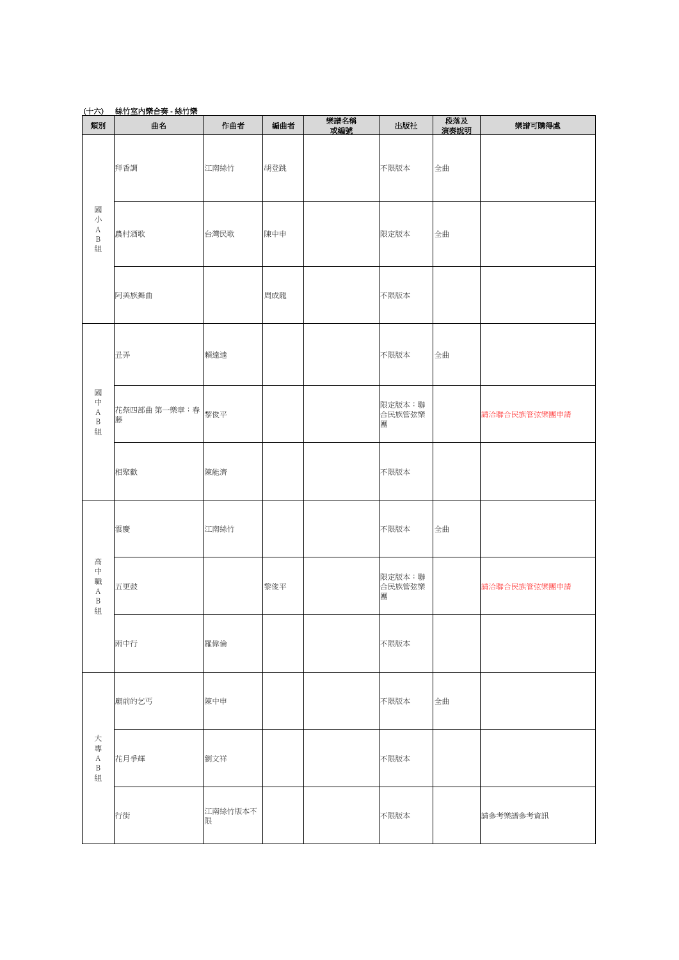| (十六)                                  | 絲竹室内樂合奏 - 絲竹樂           |              |     |             |                       |             |              |  |  |  |
|---------------------------------------|-------------------------|--------------|-----|-------------|-----------------------|-------------|--------------|--|--|--|
| 類別                                    | 曲名                      | 作曲者          | 編曲者 | 樂譜名稱<br>或編號 | 出版社                   | 段落及<br>演奏說明 | 樂譜可購得處       |  |  |  |
|                                       | 拜香調                     | 江南絲竹         | 胡登跳 |             | 不限版本                  | 全曲          |              |  |  |  |
| 或<br>小<br>$\rm A$<br>B<br>組           | 農村酒歌                    | 台灣民歌         | 陳中申 |             | 限定版本                  | 全曲          |              |  |  |  |
|                                       | 阿美族舞曲                   |              | 周成龍 |             | 不限版本                  |             |              |  |  |  |
|                                       | 丑弄                      | 賴達逵          |     |             | 不限版本                  | 全曲          |              |  |  |  |
| 或<br>中<br>А<br>$\, {\bf B}$<br>組      | 花祭四部曲 第一樂章:春   黎俊平<br>藤 |              |     |             | 限定版本:聯<br>合民族管弦樂<br>專 |             | 請洽聯合民族管弦樂團申請 |  |  |  |
|                                       | 相聚歡                     | 陳能濟          |     |             | 不限版本                  |             |              |  |  |  |
|                                       | 雲慶                      | 江南絲竹         |     |             | 不限版本                  | 全曲          |              |  |  |  |
| 高<br>中<br>職<br>А<br>$\, {\bf B}$<br>組 | 五更鼓                     |              | 黎俊平 |             | 限定版本:聯<br>合民族管弦樂<br>專 |             | 請洽聯合民族管弦樂團申請 |  |  |  |
|                                       | 雨中行                     | 羅偉倫          |     |             | 不限版本                  |             |              |  |  |  |
| 大<br>專<br>А<br>$\, {\bf B}$<br>組      | 廟前的乞丐                   | 陳中申          |     |             | 不限版本                  | 全曲          |              |  |  |  |
|                                       | 花月爭輝                    | 劉文祥          |     |             | 不限版本                  |             |              |  |  |  |
|                                       | 行街                      | 江南絲竹版本不<br>限 |     |             | 不限版本                  |             | 請參考樂譜參考資訊    |  |  |  |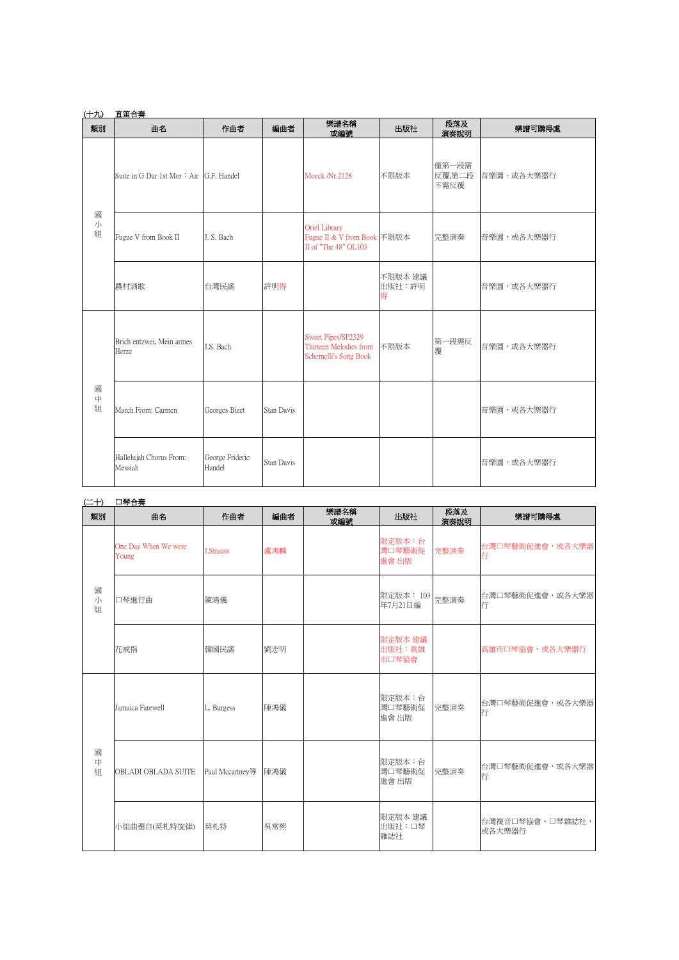| (十九)        | 直笛合奏                                    |                           |            |                                                                       |                        |                         |            |
|-------------|-----------------------------------------|---------------------------|------------|-----------------------------------------------------------------------|------------------------|-------------------------|------------|
| 類別          | 曲名                                      | 作曲者                       | 編曲者        | 樂譜名稱<br>或編號                                                           | 出版社                    | 段落及<br>演奏說明             | 樂譜可購得處     |
| 或<br>小<br>組 | Suite in G Dur 1st Mor: Air G.F. Handel |                           |            | Moeck /Nr.2128                                                        | 不限版本                   | 僅第一段需<br>反覆,第二段<br>不需反覆 | 音樂園,或各大樂器行 |
|             | Fugue V from Book II                    | J. S. Bach                |            | Oriel Library<br>Fugue II & V from Book 不限版本<br>II of "The 48" OL103  |                        | 完整演奏                    | 音樂園,或各大樂器行 |
|             | 農村酒歌                                    | 台灣民謠                      | 許明得        |                                                                       | 不限版本 建議<br>出版社:許明<br>得 |                         | 音樂園,或各大樂器行 |
| 國<br>中<br>組 | Brich entzwei, Mein armes<br>Herze      | J.S. Bach                 |            | Sweet Pipes/SP2329<br>Thirteen Melodies from<br>Schemelli's Song Book | 不限版本                   | 第一段需反<br>覆              | 音樂園,或各大樂器行 |
|             | March From: Carmen                      | Georges Bizet             | Stan Davis |                                                                       |                        |                         | 音樂園,或各大樂器行 |
|             | Hallelujah Chorus From:<br>Messiah      | George Frideric<br>Handel | Stan Davis |                                                                       |                        |                         | 音樂園,或各大樂器行 |

| 口琴合 |
|-----|

| $(\pm 1)$   | 口琴合奏                          |                  |     |             |                            |             |                           |
|-------------|-------------------------------|------------------|-----|-------------|----------------------------|-------------|---------------------------|
| 類別          | 曲名                            | 作曲者              | 編曲者 | 樂譜名稱<br>或編號 | 出版社                        | 段落及<br>演奏說明 | 樂譜可購得處                    |
| 或<br>小<br>組 | One Day When We were<br>Young | <b>J.Strauss</b> | 盧鴻麟 |             | 限定版本:台<br>灣口琴藝術促<br>進會 出版  | 完整演奏        | 台灣口琴藝術促進會,或各大樂器<br>行      |
|             | 口琴進行曲                         | 陳鴻儀              |     |             | 限定版本: 103<br>年7月21日編       | 完整演奏        | 台灣口琴藝術促進會,或各大樂器<br>行      |
|             | 花戒指                           | 韓國民謠             | 劉志明 |             | 限定版本 建議<br>出版社:高雄<br>市口琴協會 |             | 高雄市口琴協會,或各大樂器行            |
| 國<br>中<br>組 | Jamaica Farewell              | L. Burgess       | 陳鴻儀 |             | 限定版本:台<br>灣口琴藝術促<br>進會 出版  | 完整演奏        | 台灣口琴藝術促進會,或各大樂器<br>行      |
|             | OBLADI OBLADA SUITE           | Paul Mccartney等  | 陳鴻儀 |             | 限定版本:台<br>灣口琴藝術促<br>進會 出版  | 完整演奏        | 台灣口琴藝術促進會,或各大樂器<br>行      |
|             | 小組曲選自(莫札特旋律)                  | 莫札特              | 吳常熙 |             | 限定版本 建議<br>出版社:口琴<br>雜誌社   |             | 台灣複音口琴協會、口琴雜誌社,<br>或各大樂器行 |